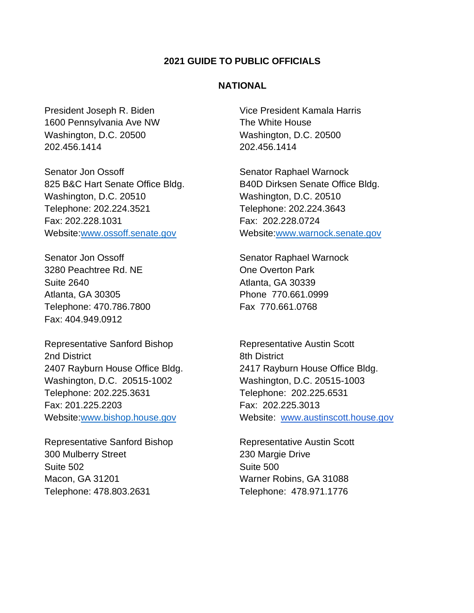#### **2021 GUIDE TO PUBLIC OFFICIALS**

### **NATIONAL**

1600 Pennsylvania Ave NW The White House Washington, D.C. 20500 Washington, D.C. 20500 202.456.1414 202.456.1414

Senator Jon Ossoff Senator Raphael Warnock 825 B&C Hart Senate Office Bldg. B40D Dirksen Senate Office Bldg. Washington, D.C. 20510 Washington, D.C. 20510 Telephone: 202.224.3521 Telephone: 202.224.3643 Fax: 202.228.1031 Fax: 202.228.0724

Senator Jon Ossoff Senator Raphael Warnock 3280 Peachtree Rd. NE Consultant Cone Overton Park Suite 2640 **Atlanta**, GA 30339 Atlanta, GA 30305 **Phone 770.661.0999** Telephone: 470.786.7800 Fax 770.661.0768 Fax: 404.949.0912

Representative Sanford Bishop Representative Austin Scott 2nd District 2nd District Washington, D.C. 20515-1002 Washington, D.C. 20515-1003 Telephone: 202.225.3631 Telephone: 202.225.6531 Fax: 201.225.2203 Fax: 202.225.3013

Representative Sanford Bishop Representative Austin Scott 300 Mulberry Street 230 Margie Drive Suite 502 Suite 500 Macon, GA 31201 Warner Robins, GA 31088 Telephone: 478.803.2631 Telephone: 478.971.1776

President Joseph R. Biden Vice President Kamala Harris

Website[:www.ossoff.senate.gov](https://www.ossoff.senate.gov/) Website[:www.warnock.senate.gov](https://www.warnock.senate.gov/)

2407 Rayburn House Office Bldg. 2417 Rayburn House Office Bldg. Website[:www.bishop.house.gov](http://www.bishop.house.gov/) Website: [www.austinscott.house.gov](http://www.austinscott.house.gov/)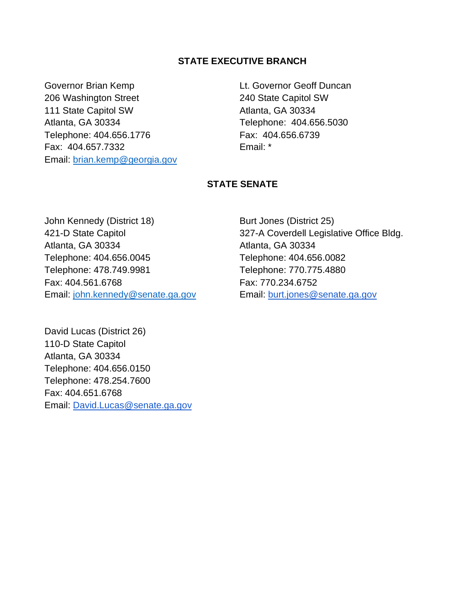## **STATE EXECUTIVE BRANCH**

Governor Brian Kemp **Lt. Governor Geoff Duncan** 206 Washington Street 240 State Capitol SW 111 State Capitol SW Atlanta, GA 30334 Atlanta, GA 30334 Telephone: 404.656.5030 Telephone: 404.656.1776 Fax: 404.656.6739 Fax: 404.657.7332 Email: \* Email: [brian.kemp@georgia.gov](mailto:brian.kemp@georgia.gov)

## **STATE SENATE**

John Kennedy (District 18) Burt Jones (District 25) Atlanta, GA 30334 Atlanta, GA 30334 Telephone: 404.656.0045 Telephone: 404.656.0082 Telephone: 478.749.9981 Telephone: 770.775.4880 Fax: 404.561.6768 Fax: 770.234.6752 Email: [john.kennedy@senate.ga.gov](mailto:john.kennedy@senate.ga.gov) Email: burt.jones@senate.ga.gov

421-D State Capitol 327-A Coverdell Legislative Office Bldg.

David Lucas (District 26) 110-D State Capitol Atlanta, GA 30334 Telephone: 404.656.0150 Telephone: 478.254.7600 Fax: 404.651.6768 Email: [David.Lucas@senate.ga.gov](mailto:David.Lucas@senate.ga.gov)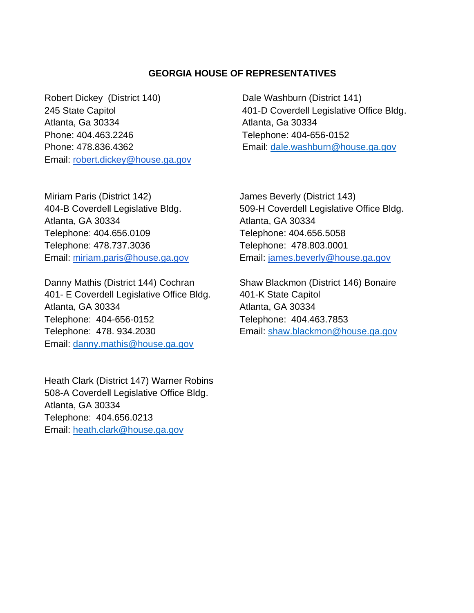### **GEORGIA HOUSE OF REPRESENTATIVES**

Robert Dickey (District 140) Dale Washburn (District 141) Atlanta, Ga 30334 Atlanta, Ga 30334 Phone: 404.463.2246 Telephone: 404-656-0152 Email: [robert.dickey@house.ga.gov](mailto:robert.dickey@house.ga.gov) 

245 State Capitol **245 State Capitol 101-D Coverdell Legislative Office Bldg.** Phone: 478.836.4362 Email: [dale.washburn@house.ga.gov](mailto:dale.washburn@house.ga.gov)

Miriam Paris (District 142) James Beverly (District 143) Atlanta, GA 30334 Atlanta, GA 30334 Telephone: 404.656.0109 Telephone: 404.656.5058 Telephone: 478.737.3036 Telephone: 478.803.0001

Danny Mathis (District 144) Cochran Shaw Blackmon (District 146) Bonaire 401- E Coverdell Legislative Office Bldg. 401-K State Capitol Atlanta, GA 30334 Atlanta, GA 30334 Telephone: 404-656-0152 Telephone: 404.463.7853 Telephone: 478. 934.2030 Email: shaw.blackmon@house.ga.gov Email: [danny.mathis@house.ga.gov](mailto:danny.mathis@house.ga.gov)

Heath Clark (District 147) Warner Robins 508-A Coverdell Legislative Office Bldg. Atlanta, GA 30334 Telephone: 404.656.0213 Email: [heath.clark@house.ga.gov](mailto:heath.clark@house.ga.gov)

404-B Coverdell Legislative Bldg. 509-H Coverdell Legislative Office Bldg. Email: [miriam.paris@house.ga.gov](mailto:miriam.paris@house.ga.gov) Email: [james.beverly@house.ga.gov](mailto:james.beverly@house.ga.gov)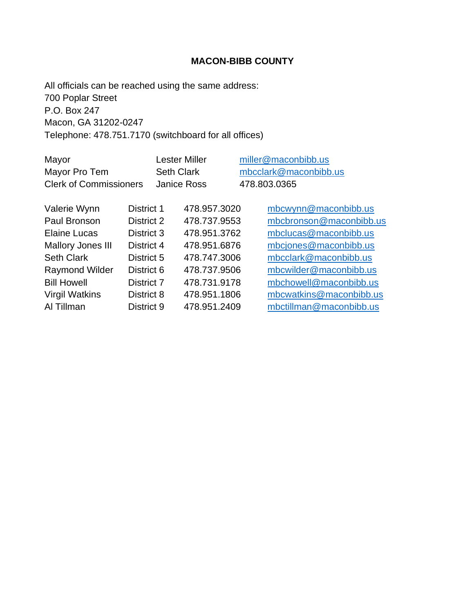# **MACON-BIBB COUNTY**

All officials can be reached using the same address: 700 Poplar Street P.O. Box 247 Macon, GA 31202-0247 Telephone: 478.751.7170 (switchboard for all offices)

| Mayor                         |            |                    | <b>Lester Miller</b> |  |                       | miller@maconbibb.us     |
|-------------------------------|------------|--------------------|----------------------|--|-----------------------|-------------------------|
| Mayor Pro Tem                 |            | <b>Seth Clark</b>  |                      |  | mbcclark@maconbibb.us |                         |
| <b>Clerk of Commissioners</b> |            | <b>Janice Ross</b> |                      |  | 478.803.0365          |                         |
|                               |            |                    |                      |  |                       |                         |
| Valerie Wynn                  | District 1 |                    | 478.957.3020         |  |                       | mbcwynn@maconbibb.us    |
| Paul Bronson                  | District 2 |                    | 478.737.9553         |  |                       | mbcbronson@maconbibb.us |
| Elaine Lucas                  | District 3 |                    | 478.951.3762         |  |                       | mbclucas@maconbibb.us   |
| <b>Mallory Jones III</b>      | District 4 |                    | 478.951.6876         |  |                       | mbcjones@maconbibb.us   |
| <b>Seth Clark</b>             | District 5 |                    | 478.747.3006         |  |                       | mbcclark@maconbibb.us   |
| <b>Raymond Wilder</b>         | District 6 |                    | 478.737.9506         |  |                       | mbcwilder@maconbibb.us  |
| <b>Bill Howell</b>            | District 7 |                    | 478.731.9178         |  |                       | mbchowell@maconbibb.us  |
| <b>Virgil Watkins</b>         | District 8 |                    | 478.951.1806         |  |                       | mbcwatkins@maconbibb.us |
| Al Tillman                    | District 9 |                    | 478.951.2409         |  |                       | mbctillman@maconbibb.us |
|                               |            |                    |                      |  |                       |                         |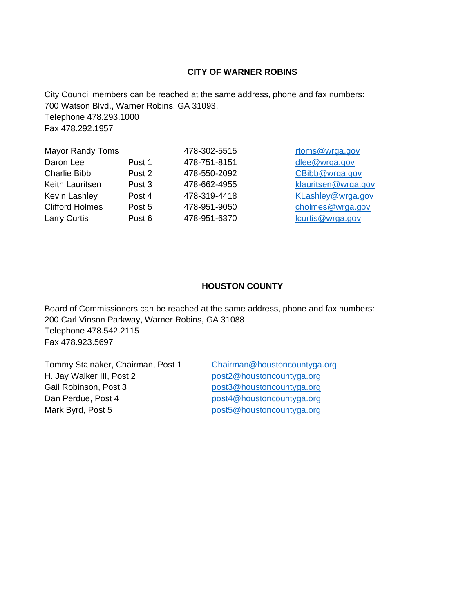#### **CITY OF WARNER ROBINS**

City Council members can be reached at the same address, phone and fax numbers: 700 Watson Blvd., Warner Robins, GA 31093. Telephone 478.293.1000 Fax 478.292.1957

| <b>Mayor Randy Toms</b> |        | 478-302-5515 | rtoms@wrga.gov      |
|-------------------------|--------|--------------|---------------------|
| Daron Lee               | Post 1 | 478-751-8151 | dlee@wrga.gov       |
| <b>Charlie Bibb</b>     | Post 2 | 478-550-2092 | CBibb@wrga.gov      |
| Keith Lauritsen         | Post 3 | 478-662-4955 | klauritsen@wrga.gov |
| Kevin Lashley           | Post 4 | 478-319-4418 | KLashley@wrga.gov   |
| <b>Clifford Holmes</b>  | Post 5 | 478-951-9050 | cholmes@wrga.gov    |
| <b>Larry Curtis</b>     | Post 6 | 478-951-6370 | lcurtis@wrga.gov    |
|                         |        |              |                     |

#### **HOUSTON COUNTY**

Board of Commissioners can be reached at the same address, phone and fax numbers: 200 Carl Vinson Parkway, Warner Robins, GA 31088 Telephone 478.542.2115 Fax 478.923.5697

Tommy Stalnaker, Chairman, Post 1 [Chairman@houstoncountyga.org](mailto:Chairman@houstoncountyga.org) H. Jay Walker III, Post 2 [post2@houstoncountyga.org](mailto:post2@houstoncountyga.org) Gail Robinson, Post 3 [post3@houstoncountyga.org](mailto:post3@houstoncountyga.org) Dan Perdue, Post 4 [post4@houstoncountyga.org](mailto:post4@houstoncountyga.org) Mark Byrd, Post 5 [post5@houstoncountyga.org](mailto:post5@houstoncountyga.org)